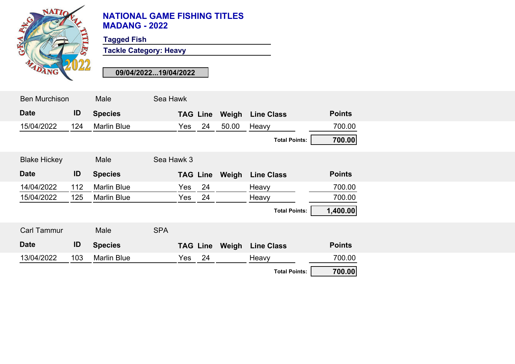

**Tagged Fish**

**Tackle Category: Heavy**

| <b>Ben Murchison</b> |     | Male               | Sea Hawk   |                 |                       |                      |               |  |
|----------------------|-----|--------------------|------------|-----------------|-----------------------|----------------------|---------------|--|
| <b>Date</b>          | ID  | <b>Species</b>     |            | <b>TAG Line</b> | Weigh                 | <b>Line Class</b>    | <b>Points</b> |  |
| 15/04/2022           | 124 | <b>Marlin Blue</b> | Yes        | 24              | 50.00                 | Heavy                | 700.00        |  |
|                      |     |                    |            |                 |                       | <b>Total Points:</b> | 700.00        |  |
| <b>Blake Hickey</b>  |     | Male               | Sea Hawk 3 |                 |                       |                      |               |  |
| <b>Date</b>          | ID  | <b>Species</b>     |            |                 | <b>TAG Line Weigh</b> | <b>Line Class</b>    | <b>Points</b> |  |
| 14/04/2022           | 112 | <b>Marlin Blue</b> | Yes        | 24              |                       | Heavy                | 700.00        |  |
| 15/04/2022           | 125 | <b>Marlin Blue</b> | Yes        | 24              |                       | Heavy                | 700.00        |  |
|                      |     |                    |            |                 |                       | <b>Total Points:</b> | 1,400.00      |  |
| <b>Carl Tammur</b>   |     | Male               | <b>SPA</b> |                 |                       |                      |               |  |
| <b>Date</b>          | ID  | <b>Species</b>     |            | <b>TAG Line</b> | Weigh                 | <b>Line Class</b>    | <b>Points</b> |  |
| 13/04/2022           | 103 | <b>Marlin Blue</b> | Yes        | 24              |                       | Heavy                | 700.00        |  |
|                      |     |                    |            |                 |                       | <b>Total Points:</b> | 700.00        |  |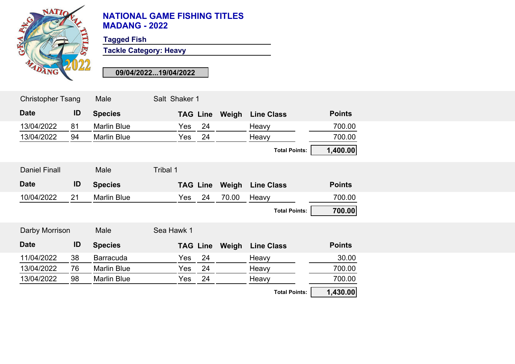

**Tagged Fish**

**Tackle Category: Heavy**

| <b>Christopher Tsang</b> |    | Male               | Salt Shaker 1   |    |       |                         |               |  |
|--------------------------|----|--------------------|-----------------|----|-------|-------------------------|---------------|--|
| <b>Date</b>              | ID | <b>Species</b>     | <b>TAG Line</b> |    | Weigh | <b>Line Class</b>       | <b>Points</b> |  |
| 13/04/2022               | 81 | <b>Marlin Blue</b> | Yes             | 24 |       | Heavy                   | 700.00        |  |
| 13/04/2022               | 94 | <b>Marlin Blue</b> | Yes             | 24 |       | Heavy                   | 700.00        |  |
|                          |    |                    |                 |    |       | <b>Total Points:</b>    | 1,400.00      |  |
| <b>Daniel Finall</b>     |    | Male               | Tribal 1        |    |       |                         |               |  |
| <b>Date</b>              | ID | <b>Species</b>     | <b>TAG Line</b> |    |       | <b>Weigh Line Class</b> | <b>Points</b> |  |
| 10/04/2022               | 21 | <b>Marlin Blue</b> | Yes             | 24 | 70.00 | Heavy                   | 700.00        |  |
|                          |    |                    |                 |    |       | <b>Total Points:</b>    | 700.00        |  |
| Darby Morrison           |    | Male               | Sea Hawk 1      |    |       |                         |               |  |
| <b>Date</b>              | ID | <b>Species</b>     | <b>TAG Line</b> |    | Weigh | <b>Line Class</b>       | <b>Points</b> |  |
| 11/04/2022               | 38 | <b>Barracuda</b>   | Yes             | 24 |       | Heavy                   | 30.00         |  |
| 13/04/2022               | 76 | <b>Marlin Blue</b> | Yes             | 24 |       | Heavy                   | 700.00        |  |
| 13/04/2022               | 98 | <b>Marlin Blue</b> | Yes             | 24 |       | Heavy                   | 700.00        |  |
|                          |    |                    |                 |    |       | <b>Total Points:</b>    | 1,430.00      |  |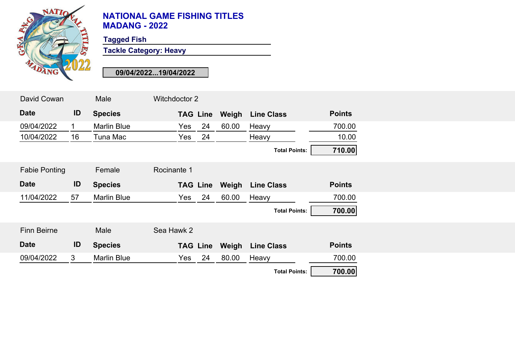

**Tagged Fish**

**Tackle Category: Heavy**

| David Cowan          |              | Male               | Witchdoctor 2   |             |                      |               |
|----------------------|--------------|--------------------|-----------------|-------------|----------------------|---------------|
| <b>Date</b>          | ID           | <b>Species</b>     | <b>TAG Line</b> | Weigh       | <b>Line Class</b>    | <b>Points</b> |
| 09/04/2022           | 1.           | <b>Marlin Blue</b> | Yes             | 24<br>60.00 | Heavy                | 700.00        |
| 10/04/2022           | 16           | Tuna Mac           | Yes             | 24          | Heavy                | 10.00         |
|                      |              |                    |                 |             | <b>Total Points:</b> | 710.00        |
| <b>Fabie Ponting</b> |              | Female             | Rocinante 1     |             |                      |               |
| <b>Date</b>          | ID           | <b>Species</b>     | <b>TAG Line</b> | Weigh       | <b>Line Class</b>    | <b>Points</b> |
| 11/04/2022           | 57           | <b>Marlin Blue</b> | Yes             | 24<br>60.00 | Heavy                | 700.00        |
|                      |              |                    |                 |             | <b>Total Points:</b> | 700.00        |
| <b>Finn Beirne</b>   |              | Male               | Sea Hawk 2      |             |                      |               |
| <b>Date</b>          | ID           | <b>Species</b>     | <b>TAG Line</b> | Weigh       | <b>Line Class</b>    | <b>Points</b> |
| 09/04/2022           | $\mathbf{3}$ | <b>Marlin Blue</b> | Yes             | 24<br>80.00 | Heavy                | 700.00        |
|                      |              |                    |                 |             | <b>Total Points:</b> | 700.00        |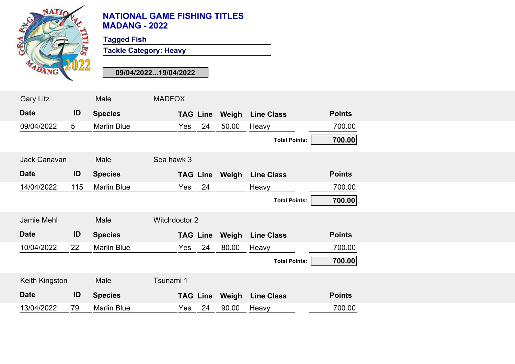

**Tagged Fish**

**Tackle Category: Heavy**

| <b>Gary Litz</b>    |                | Male               | <b>MADFOX</b> |     |                 |                       |                      |               |  |
|---------------------|----------------|--------------------|---------------|-----|-----------------|-----------------------|----------------------|---------------|--|
| <b>Date</b>         | ID             | <b>Species</b>     |               |     | <b>TAG Line</b> | Weigh                 | <b>Line Class</b>    | <b>Points</b> |  |
| 09/04/2022          | 5 <sup>5</sup> | <b>Marlin Blue</b> |               | Yes | 24              | 50.00                 | Heavy                | 700.00        |  |
|                     |                |                    |               |     |                 |                       | <b>Total Points:</b> | 700.00        |  |
| <b>Jack Canavan</b> |                | Male               | Sea hawk 3    |     |                 |                       |                      |               |  |
| <b>Date</b>         | ID             | <b>Species</b>     |               |     |                 | <b>TAG Line Weigh</b> | <b>Line Class</b>    | <b>Points</b> |  |
| 14/04/2022          | 115            | <b>Marlin Blue</b> |               | Yes | 24              |                       | Heavy                | 700.00        |  |
|                     |                |                    |               |     |                 |                       | <b>Total Points:</b> | 700.00        |  |
| Jamie Mehl          |                | Male               | Witchdoctor 2 |     |                 |                       |                      |               |  |
| <b>Date</b>         | ID             | <b>Species</b>     |               |     | <b>TAG Line</b> | Weigh                 | <b>Line Class</b>    | <b>Points</b> |  |
| 10/04/2022          | 22             | <b>Marlin Blue</b> |               | Yes | 24              | 80.00                 | Heavy                | 700.00        |  |
|                     |                |                    |               |     |                 |                       | <b>Total Points:</b> | 700.00        |  |
| Keith Kingston      |                | Male               | Tsunami 1     |     |                 |                       |                      |               |  |
| <b>Date</b>         | ID             | <b>Species</b>     |               |     | <b>TAG Line</b> | Weigh                 | <b>Line Class</b>    | <b>Points</b> |  |
| 13/04/2022          | 79             | <b>Marlin Blue</b> |               | Yes | 24              | 90.00                 | Heavy                | 700.00        |  |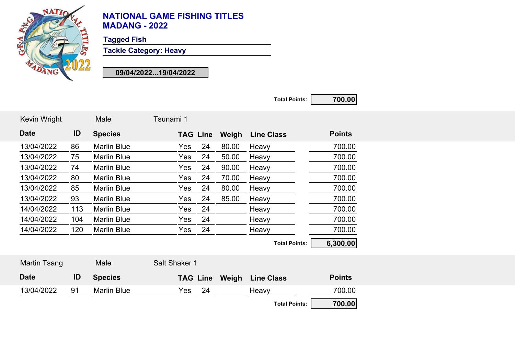

**Tagged Fish**

**Tackle Category: Heavy**

**09/04/2022...19/04/2022**

**Total Points: 700.00**

| <b>Kevin Wright</b> |     | Male               | Tsunami 1     |                 |       |                      |               |
|---------------------|-----|--------------------|---------------|-----------------|-------|----------------------|---------------|
| <b>Date</b>         | ID  | <b>Species</b>     |               | <b>TAG Line</b> | Weigh | <b>Line Class</b>    | <b>Points</b> |
| 13/04/2022          | 86  | <b>Marlin Blue</b> | Yes           | 24              | 80.00 | Heavy                | 700.00        |
| 13/04/2022          | 75  | <b>Marlin Blue</b> | Yes           | 24              | 50.00 | Heavy                | 700.00        |
| 13/04/2022          | 74  | <b>Marlin Blue</b> | Yes           | 24              | 90.00 | Heavy                | 700.00        |
| 13/04/2022          | 80  | <b>Marlin Blue</b> | Yes           | 24              | 70.00 | Heavy                | 700.00        |
| 13/04/2022          | 85  | <b>Marlin Blue</b> | Yes           | 24              | 80.00 | Heavy                | 700.00        |
| 13/04/2022          | 93  | <b>Marlin Blue</b> | Yes           | 24              | 85.00 | Heavy                | 700.00        |
| 14/04/2022          | 113 | <b>Marlin Blue</b> | Yes           | 24              |       | Heavy                | 700.00        |
| 14/04/2022          | 104 | <b>Marlin Blue</b> | Yes           | 24              |       | Heavy                | 700.00        |
| 14/04/2022          | 120 | <b>Marlin Blue</b> | Yes           | 24              |       | Heavy                | 700.00        |
|                     |     |                    |               |                 |       | <b>Total Points:</b> | 6,300.00      |
| <b>Martin Tsang</b> |     | Male               | Salt Shaker 1 |                 |       |                      |               |

| <b>Date</b> | ID | <b>Species</b>     |     |    | <b>TAG Line Weigh Line Class</b> | <b>Points</b> |
|-------------|----|--------------------|-----|----|----------------------------------|---------------|
| 13/04/2022  | Q1 | <b>Marlin Blue</b> | Yes | 24 | Heavy                            | 700.00        |
|             |    |                    |     |    | <b>Total Points:</b>             | 700.00        |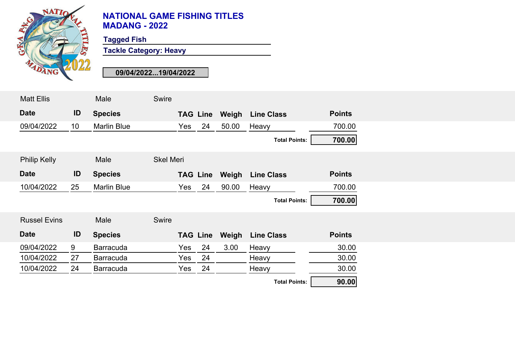

**Tagged Fish**

**Tackle Category: Heavy**

| <b>Matt Ellis</b>   |                 | Male               | Swire            |                 |    |                       |                      |               |  |
|---------------------|-----------------|--------------------|------------------|-----------------|----|-----------------------|----------------------|---------------|--|
| <b>Date</b>         | ID              | <b>Species</b>     |                  | <b>TAG Line</b> |    | Weigh                 | <b>Line Class</b>    | <b>Points</b> |  |
| 09/04/2022          | 10 <sup>°</sup> | <b>Marlin Blue</b> |                  | Yes             | 24 | 50.00                 | Heavy                | 700.00        |  |
|                     |                 |                    |                  |                 |    |                       | <b>Total Points:</b> | 700.00        |  |
| <b>Philip Kelly</b> |                 | Male               | <b>Skel Meri</b> |                 |    |                       |                      |               |  |
| <b>Date</b>         | ID              | <b>Species</b>     |                  |                 |    | <b>TAG Line Weigh</b> | <b>Line Class</b>    | <b>Points</b> |  |
| 10/04/2022          | 25              | <b>Marlin Blue</b> |                  | Yes             | 24 | 90.00                 | Heavy                | 700.00        |  |
|                     |                 |                    |                  |                 |    |                       | <b>Total Points:</b> | 700.00        |  |
| <b>Russel Evins</b> |                 | Male               | Swire            |                 |    |                       |                      |               |  |
| <b>Date</b>         | ID              | <b>Species</b>     |                  | <b>TAG Line</b> |    | Weigh                 | <b>Line Class</b>    | <b>Points</b> |  |
| 09/04/2022          | 9               | <b>Barracuda</b>   |                  | Yes             | 24 | 3.00                  | Heavy                | 30.00         |  |
| 10/04/2022          | 27              | <b>Barracuda</b>   |                  | Yes             | 24 |                       | Heavy                | 30.00         |  |
| 10/04/2022          | 24              | <b>Barracuda</b>   |                  | Yes             | 24 |                       | Heavy                | 30.00         |  |
|                     |                 |                    |                  |                 |    |                       | <b>Total Points:</b> | 90.00         |  |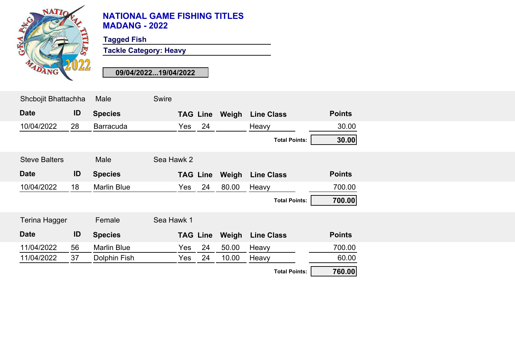

**Tagged Fish**

**Tackle Category: Heavy**

| Shcbojit Bhattachha  |    | Male               | <b>Swire</b> |                 |       |                      |               |  |
|----------------------|----|--------------------|--------------|-----------------|-------|----------------------|---------------|--|
| <b>Date</b>          | ID | <b>Species</b>     |              | <b>TAG Line</b> | Weigh | <b>Line Class</b>    | <b>Points</b> |  |
| 10/04/2022           | 28 | <b>Barracuda</b>   | Yes          | 24              |       | Heavy                | 30.00         |  |
|                      |    |                    |              |                 |       | <b>Total Points:</b> | 30.00         |  |
| <b>Steve Balters</b> |    | Male               | Sea Hawk 2   |                 |       |                      |               |  |
| <b>Date</b>          | ID | <b>Species</b>     |              | <b>TAG Line</b> | Weigh | <b>Line Class</b>    | <b>Points</b> |  |
| 10/04/2022           | 18 | <b>Marlin Blue</b> | Yes          | 24              | 80.00 | Heavy                | 700.00        |  |
|                      |    |                    |              |                 |       | <b>Total Points:</b> | 700.00        |  |
| <b>Terina Hagger</b> |    | Female             | Sea Hawk 1   |                 |       |                      |               |  |
| <b>Date</b>          | ID | <b>Species</b>     |              | <b>TAG Line</b> | Weigh | <b>Line Class</b>    | <b>Points</b> |  |
| 11/04/2022           | 56 | <b>Marlin Blue</b> | Yes          | 24              | 50.00 | Heavy                | 700.00        |  |
| 11/04/2022           | 37 | Dolphin Fish       | Yes          | 24              | 10.00 | Heavy                | 60.00         |  |
|                      |    |                    |              |                 |       | <b>Total Points:</b> | 760.00        |  |